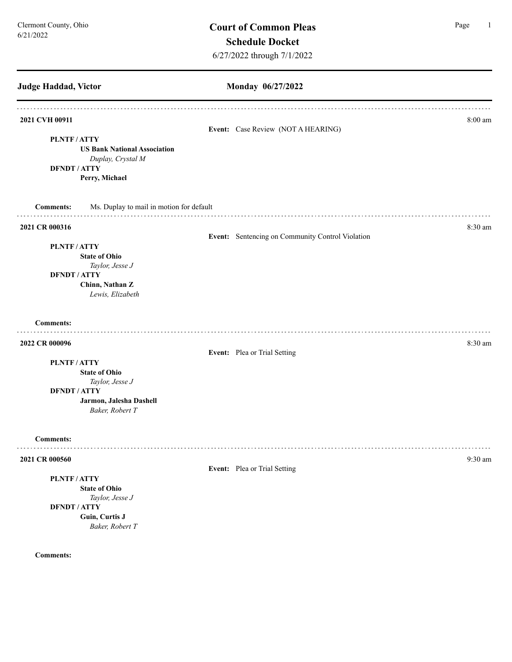| <b>Judge Haddad, Victor</b>                                                                                                | Monday 06/27/2022                                |           |
|----------------------------------------------------------------------------------------------------------------------------|--------------------------------------------------|-----------|
| 2021 CVH 00911<br>PLNTF/ATTY                                                                                               | Event: Case Review (NOT A HEARING)               | $8:00$ am |
| <b>US Bank National Association</b><br>Duplay, Crystal M<br><b>DFNDT / ATTY</b><br>Perry, Michael                          |                                                  |           |
| <b>Comments:</b><br>Ms. Duplay to mail in motion for default                                                               |                                                  |           |
| 2021 CR 000316                                                                                                             | Event: Sentencing on Community Control Violation | 8:30 am   |
| PLNTF/ATTY<br><b>State of Ohio</b><br>Taylor, Jesse J<br><b>DFNDT / ATTY</b><br>Chinn, Nathan Z<br>Lewis, Elizabeth        |                                                  |           |
| <b>Comments:</b>                                                                                                           |                                                  |           |
| 2022 CR 000096                                                                                                             | Event: Plea or Trial Setting                     | 8:30 am   |
| PLNTF/ATTY<br><b>State of Ohio</b><br>Taylor, Jesse J<br><b>DFNDT / ATTY</b><br>Jarmon, Jalesha Dashell<br>Baker, Robert T |                                                  |           |
| <b>Comments:</b>                                                                                                           |                                                  |           |
| 2021 CR 000560                                                                                                             | Event: Plea or Trial Setting                     | 9:30 am   |
| PLNTF/ATTY<br><b>State of Ohio</b><br>Taylor, Jesse J<br><b>DFNDT / ATTY</b><br>Guin, Curtis J<br>Baker, Robert T          |                                                  |           |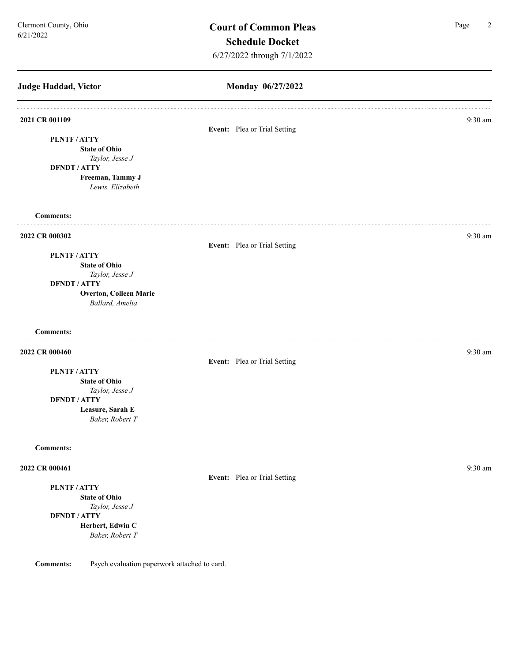**Judge Haddad, Victor Monday 06/27/2022 2021 CR 001109** 9:30 am **9:30 am Event:** Plea or Trial Setting **PLNTF / ATTY State of Ohio** *Taylor, Jesse J* **DFNDT / ATTY Freeman, Tammy J** *Lewis, Elizabeth*  **Comments: 2022 CR 000302** 9:30 am **9:30** am **9:30** am **9:30** am **9:30** am **9:30** am **9:30** am **9:30** am **Event:** Plea or Trial Setting **PLNTF / ATTY State of Ohio** *Taylor, Jesse J* **DFNDT / ATTY Overton, Colleen Marie** *Ballard, Amelia*  **Comments: 2022 CR 000460** 9:30 am **9:30 am Event:** Plea or Trial Setting **PLNTF / ATTY State of Ohio** *Taylor, Jesse J* **DFNDT / ATTY Leasure, Sarah E** *Baker, Robert T* **Comments:** . . . . . . . . . **2022 CR 000461** 9:30 am **9:30 am Event:** Plea or Trial Setting **PLNTF / ATTY State of Ohio**

*Taylor, Jesse J* **DFNDT / ATTY Herbert, Edwin C** *Baker, Robert T*

**Comments:** Psych evaluation paperwork attached to card.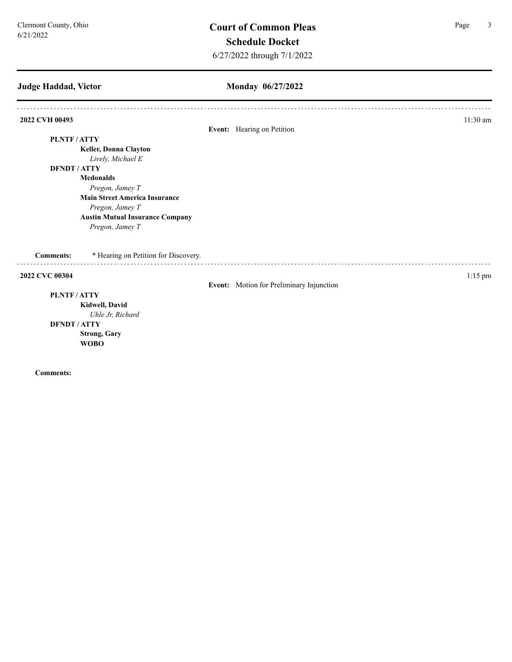# **Judge Haddad, Victor**

## **Monday 06/27/2022**

| 2022 CVH 00493   |                                        |                                          | $11:30$ am |
|------------------|----------------------------------------|------------------------------------------|------------|
|                  |                                        | Event: Hearing on Petition               |            |
| PLNTF/ATTY       |                                        |                                          |            |
|                  | Keller, Donna Clayton                  |                                          |            |
|                  | Lively, Michael E                      |                                          |            |
|                  | <b>DFNDT/ATTY</b>                      |                                          |            |
|                  | <b>Mcdonalds</b>                       |                                          |            |
|                  | Pregon, Jamey T                        |                                          |            |
|                  | <b>Main Street America Insurance</b>   |                                          |            |
|                  | Pregon, Jamey T                        |                                          |            |
|                  | <b>Austin Mutual Insurance Company</b> |                                          |            |
|                  | Pregon, Jamey T                        |                                          |            |
| <b>Comments:</b> | * Hearing on Petition for Discovery.   |                                          |            |
| 2022 CVC 00304   |                                        |                                          | $1:15$ pm  |
|                  |                                        | Event: Motion for Preliminary Injunction |            |
| PLNTF/ATTY       |                                        |                                          |            |
|                  | Kidwell, David                         |                                          |            |
|                  | Uhle Jr, Richard                       |                                          |            |
|                  | <b>DFNDT / ATTY</b>                    |                                          |            |
|                  | <b>Strong, Gary</b>                    |                                          |            |
|                  | <b>WOBO</b>                            |                                          |            |
|                  |                                        |                                          |            |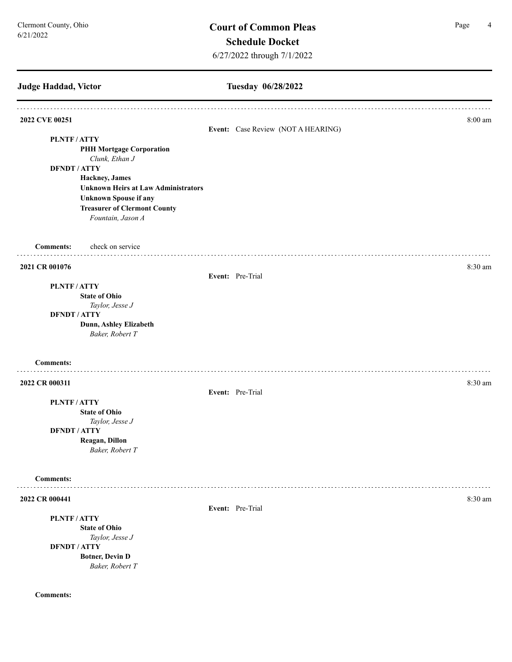| Judge Haddad, Victor                                     | Tuesday 06/28/2022                 |         |
|----------------------------------------------------------|------------------------------------|---------|
| 2022 CVE 00251                                           | Event: Case Review (NOT A HEARING) | 8:00 am |
| PLNTF/ATTY                                               |                                    |         |
| <b>PHH Mortgage Corporation</b>                          |                                    |         |
| Clunk, Ethan J                                           |                                    |         |
| <b>DFNDT / ATTY</b>                                      |                                    |         |
| Hackney, James                                           |                                    |         |
| <b>Unknown Heirs at Law Administrators</b>               |                                    |         |
| <b>Unknown Spouse if any</b>                             |                                    |         |
| <b>Treasurer of Clermont County</b><br>Fountain, Jason A |                                    |         |
| check on service<br><b>Comments:</b>                     |                                    |         |
| 2021 CR 001076                                           |                                    | 8:30 am |
|                                                          | Event: Pre-Trial                   |         |
| <b>PLNTF/ATTY</b>                                        |                                    |         |
| <b>State of Ohio</b>                                     |                                    |         |
| Taylor, Jesse J                                          |                                    |         |
| <b>DFNDT / ATTY</b><br>Dunn, Ashley Elizabeth            |                                    |         |
| Baker, Robert T                                          |                                    |         |
| <b>Comments:</b>                                         |                                    |         |
| 2022 CR 000311                                           |                                    | 8:30 am |
|                                                          | Event: Pre-Trial                   |         |
| PLNTF/ATTY                                               |                                    |         |
| <b>State of Ohio</b>                                     |                                    |         |
| Taylor, Jesse J                                          |                                    |         |
| <b>DFNDT / ATTY</b>                                      |                                    |         |
| Reagan, Dillon                                           |                                    |         |
| Baker, Robert T                                          |                                    |         |
| <b>Comments:</b>                                         |                                    |         |
| 2022 CR 000441                                           |                                    | 8:30 am |
|                                                          | Event: Pre-Trial                   |         |
| PLNTF/ATTY                                               |                                    |         |
| <b>State of Ohio</b>                                     |                                    |         |
| Taylor, Jesse J                                          |                                    |         |
| <b>DFNDT / ATTY</b>                                      |                                    |         |
| <b>Botner, Devin D</b>                                   |                                    |         |
| Baker, Robert T                                          |                                    |         |
|                                                          |                                    |         |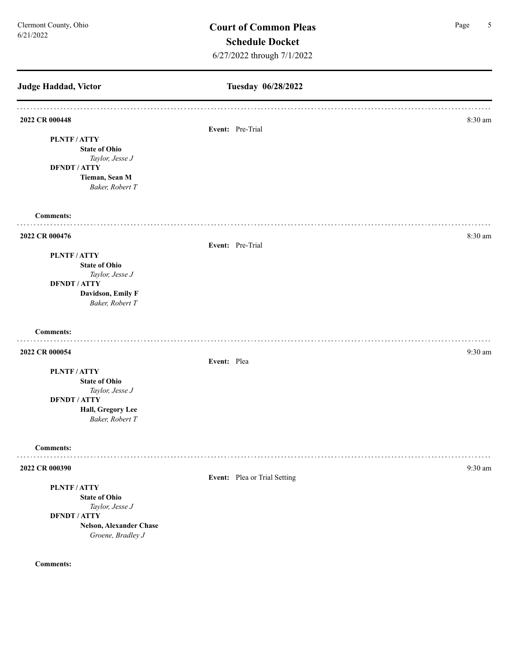**Judge Haddad, Victor Tuesday 06/28/2022 2022 CR 000448** 8:30 am **8:30 am Event:** Pre-Trial **PLNTF / ATTY State of Ohio** *Taylor, Jesse J* **DFNDT / ATTY Tieman, Sean M** *Baker, Robert T* **Comments: 2022 CR 000476** 8:30 am **Event:** Pre-Trial **PLNTF / ATTY State of Ohio** *Taylor, Jesse J* **DFNDT / ATTY Davidson, Emily F** *Baker, Robert T* **Comments: 2022 CR 000054** 9:30 am **9:30 am Event:** Plea **PLNTF / ATTY State of Ohio** *Taylor, Jesse J* **DFNDT / ATTY Hall, Gregory Lee** *Baker, Robert T* **Comments:** . . . . . . . . . **2022 CR 000390** 9:30 am **Event:** Plea or Trial Setting **PLNTF / ATTY State of Ohio** *Taylor, Jesse J* **DFNDT / ATTY Nelson, Alexander Chase** *Groene, Bradley J* **Comments:**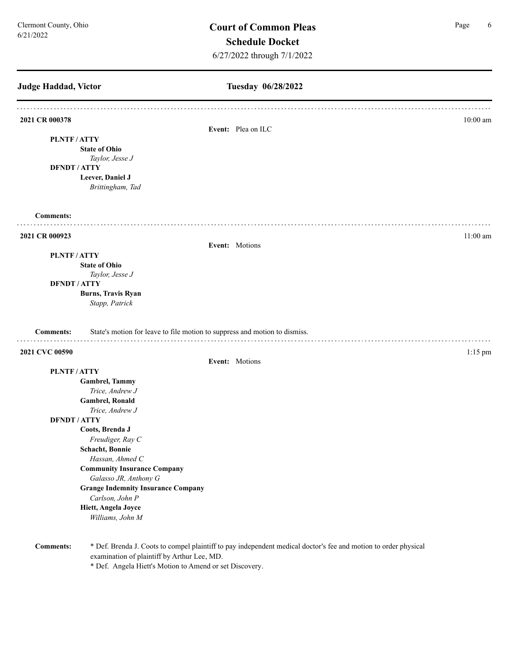**Judge Haddad, Victor Tuesday 06/28/2022 2021 CR 000378** 10:00 am **Event:** Plea on ILC **PLNTF / ATTY State of Ohio** *Taylor, Jesse J* **DFNDT / ATTY Leever, Daniel J** *Brittingham, Tad*  **Comments:** . . . . . . . . **2021 CR 000923** 11:00 am **Event:** Motions **PLNTF / ATTY State of Ohio** *Taylor, Jesse J* **DFNDT / ATTY Burns, Travis Ryan** *Stapp, Patrick*  **Comments:** State's motion for leave to file motion to suppress and motion to dismiss. **2021 CVC 00590** 1:15 pm **Event:** Motions **PLNTF / ATTY Gambrel, Tammy**  *Trice, Andrew J* **Gambrel, Ronald**  *Trice, Andrew J* **DFNDT / ATTY Coots, Brenda J** *Freudiger, Ray C* **Schacht, Bonnie**  *Hassan, Ahmed C* **Community Insurance Company** *Galasso JR, Anthony G* **Grange Indemnity Insurance Company** *Carlson, John P* **Hiett, Angela Joyce** *Williams, John M*

**Comments:** \* Def. Brenda J. Coots to compel plaintiff to pay independent medical doctor's fee and motion to order physical examination of plaintiff by Arthur Lee, MD.

\* Def. Angela Hiett's Motion to Amend or set Discovery.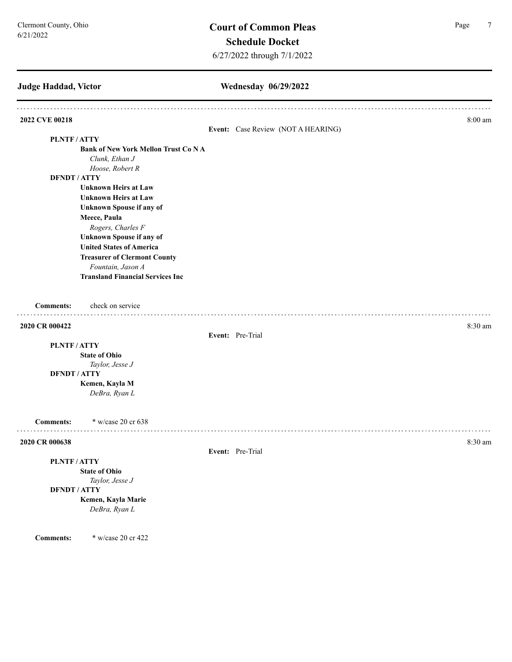| Judge Haddad, Victor |                                            | Wednesday 06/29/2022               |         |
|----------------------|--------------------------------------------|------------------------------------|---------|
| 2022 CVE 00218       |                                            |                                    | 8:00 am |
|                      |                                            | Event: Case Review (NOT A HEARING) |         |
| <b>PLNTF/ATTY</b>    |                                            |                                    |         |
|                      | <b>Bank of New York Mellon Trust Co NA</b> |                                    |         |
|                      | Clunk, Ethan J                             |                                    |         |
| <b>DFNDT / ATTY</b>  | Hoose, Robert R                            |                                    |         |
|                      | <b>Unknown Heirs at Law</b>                |                                    |         |
|                      | <b>Unknown Heirs at Law</b>                |                                    |         |
|                      | <b>Unknown Spouse if any of</b>            |                                    |         |
|                      | Meece, Paula                               |                                    |         |
|                      | Rogers, Charles F                          |                                    |         |
|                      | <b>Unknown Spouse if any of</b>            |                                    |         |
|                      | <b>United States of America</b>            |                                    |         |
|                      | <b>Treasurer of Clermont County</b>        |                                    |         |
|                      | Fountain, Jason A                          |                                    |         |
|                      | <b>Transland Financial Services Inc</b>    |                                    |         |
| <b>Comments:</b>     | check on service                           |                                    |         |
| 2020 CR 000422       |                                            |                                    | 8:30 am |
|                      |                                            | Event: Pre-Trial                   |         |
| PLNTF/ATTY           |                                            |                                    |         |
|                      | <b>State of Ohio</b>                       |                                    |         |
|                      | Taylor, Jesse J                            |                                    |         |
| <b>DFNDT / ATTY</b>  |                                            |                                    |         |
|                      | Kemen, Kayla M                             |                                    |         |
|                      | DeBra, Ryan L                              |                                    |         |
| <b>Comments:</b>     | * w/case 20 cr 638                         |                                    |         |
| 2020 CR 000638       |                                            |                                    | 8:30 am |
|                      |                                            | Event: Pre-Trial                   |         |
| PLNTF/ATTY           |                                            |                                    |         |
|                      | <b>State of Ohio</b>                       |                                    |         |
| <b>DFNDT / ATTY</b>  | Taylor, Jesse J                            |                                    |         |
|                      | Kemen, Kayla Marie                         |                                    |         |
|                      | DeBra, Ryan L                              |                                    |         |
|                      |                                            |                                    |         |

**Comments:** \* w/case 20 cr 422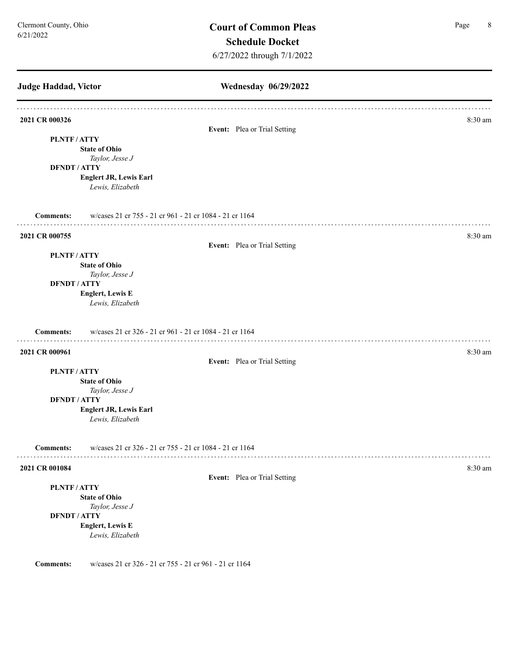**Judge Haddad, Victor Wednesday 06/29/2022 2021 CR 000326** 8:30 am **Event:** Plea or Trial Setting **PLNTF / ATTY State of Ohio** *Taylor, Jesse J* **DFNDT / ATTY Englert JR, Lewis Earl** *Lewis, Elizabeth*  **Comments:** w/cases 21 cr 755 - 21 cr 961 - 21 cr 1084 - 21 cr 1164 **2021 CR 000755** 8:30 am **Event:** Plea or Trial Setting **PLNTF / ATTY State of Ohio** *Taylor, Jesse J* **DFNDT / ATTY Englert, Lewis E** *Lewis, Elizabeth*  **Comments:** w/cases 21 cr 326 - 21 cr 961 - 21 cr 1084 - 21 cr 1164 **2021 CR 000961** 8:30 am **Event:** Plea or Trial Setting **PLNTF / ATTY State of Ohio** *Taylor, Jesse J* **DFNDT / ATTY Englert JR, Lewis Earl** *Lewis, Elizabeth*  **Comments:** w/cases 21 cr 326 - 21 cr 755 - 21 cr 1084 - 21 cr 1164 **2021 CR 001084** 8:30 am **Event:** Plea or Trial Setting **PLNTF / ATTY State of Ohio** *Taylor, Jesse J* **DFNDT / ATTY Englert, Lewis E** *Lewis, Elizabeth*  **Comments:** w/cases 21 cr 326 - 21 cr 755 - 21 cr 961 - 21 cr 1164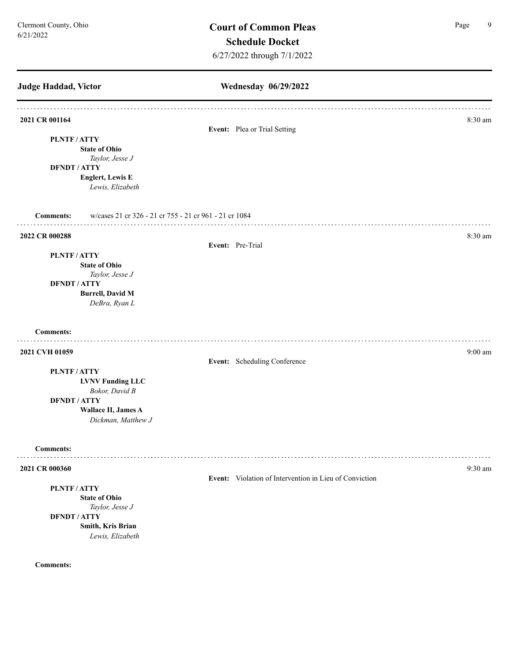**Judge Haddad, Victor Wednesday 06/29/2022 2021 CR 001164** 8:30 am **8:30 am Event:** Plea or Trial Setting **PLNTF / ATTY State of Ohio** *Taylor, Jesse J* **DFNDT / ATTY Englert, Lewis E** *Lewis, Elizabeth*  **Comments:** w/cases 21 cr 326 - 21 cr 755 - 21 cr 961 - 21 cr 1084 **2022 CR 000288** 8:30 am **Event:** Pre-Trial **PLNTF / ATTY State of Ohio** *Taylor, Jesse J* **DFNDT / ATTY Burrell, David M** *DeBra, Ryan L* **Comments: 2021 CVH 01059** 9:00 am **9:00 am Event:** Scheduling Conference **PLNTF / ATTY LVNV Funding LLC** *Bokor, David B* **DFNDT / ATTY Wallace II, James A** *Dickman, Matthew J* **Comments:** . . . . . . . . . . . . . . . . . . **2021 CR 000360** 9:30 am **Event:** Violation of Intervention in Lieu of Conviction **PLNTF / ATTY State of Ohio** *Taylor, Jesse J* **DFNDT / ATTY Smith, Kris Brian** *Lewis, Elizabeth*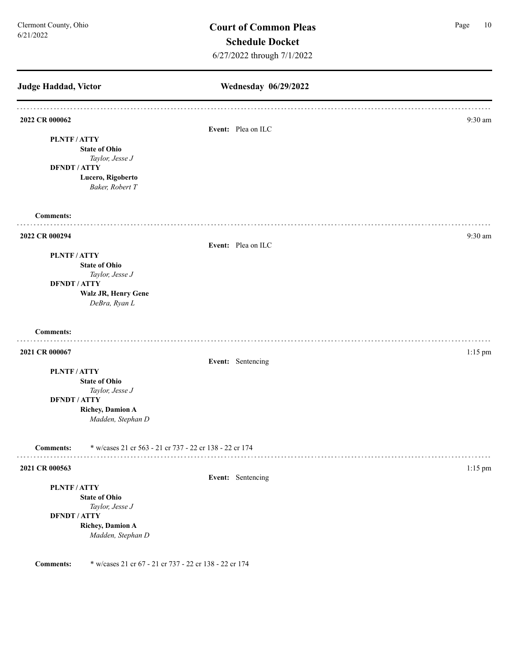| Judge Haddad, Victor |                                                         | Wednesday 06/29/2022 |           |
|----------------------|---------------------------------------------------------|----------------------|-----------|
| 2022 CR 000062       |                                                         | Event: Plea on ILC   | $9:30$ am |
| PLNTF/ATTY           |                                                         |                      |           |
|                      | <b>State of Ohio</b>                                    |                      |           |
|                      | Taylor, Jesse J                                         |                      |           |
| <b>DFNDT / ATTY</b>  | Lucero, Rigoberto                                       |                      |           |
|                      | Baker, Robert T                                         |                      |           |
| <b>Comments:</b>     |                                                         |                      |           |
| 2022 CR 000294       |                                                         |                      | 9:30 am   |
|                      |                                                         | Event: Plea on ILC   |           |
| PLNTF/ATTY           |                                                         |                      |           |
|                      | <b>State of Ohio</b>                                    |                      |           |
| <b>DFNDT / ATTY</b>  | Taylor, Jesse J                                         |                      |           |
|                      | Walz JR, Henry Gene                                     |                      |           |
|                      | DeBra, Ryan L                                           |                      |           |
| <b>Comments:</b>     |                                                         |                      |           |
| 2021 CR 000067       |                                                         |                      | 1:15 pm   |
|                      |                                                         | Event: Sentencing    |           |
| PLNTF/ATTY           |                                                         |                      |           |
|                      | <b>State of Ohio</b>                                    |                      |           |
|                      | Taylor, Jesse J                                         |                      |           |
| <b>DFNDT / ATTY</b>  | <b>Richey, Damion A</b>                                 |                      |           |
|                      | Madden, Stephan D                                       |                      |           |
| <b>Comments:</b>     | * w/cases 21 cr 563 - 21 cr 737 - 22 cr 138 - 22 cr 174 |                      |           |
| 2021 CR 000563       |                                                         |                      | $1:15$ pm |
|                      |                                                         | Event: Sentencing    |           |
| PLNTF/ATTY           |                                                         |                      |           |
|                      | <b>State of Ohio</b>                                    |                      |           |
| <b>DFNDT / ATTY</b>  | Taylor, Jesse J                                         |                      |           |
|                      | <b>Richey, Damion A</b>                                 |                      |           |
|                      | Madden, Stephan D                                       |                      |           |
| <b>Comments:</b>     | * w/cases 21 cr 67 - 21 cr 737 - 22 cr 138 - 22 cr 174  |                      |           |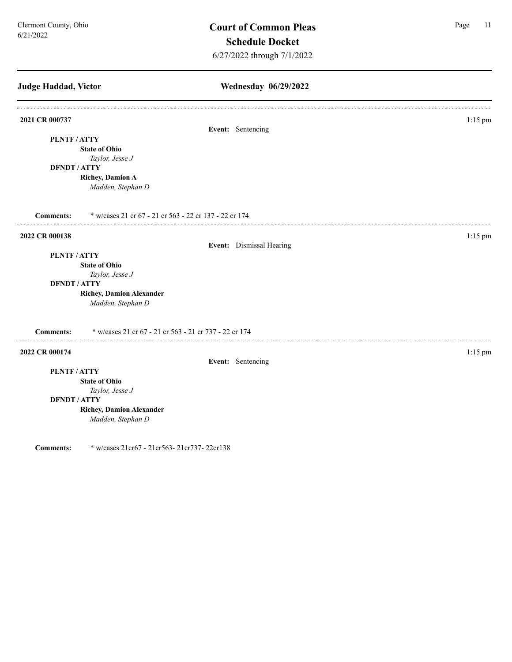**Judge Haddad, Victor Wednesday 06/29/2022 2021 CR 000737** 1:15 pm **Event:** Sentencing **PLNTF / ATTY State of Ohio** *Taylor, Jesse J* **DFNDT / ATTY Richey, Damion A** *Madden, Stephan D* **Comments:** \* w/cases 21 cr 67 - 21 cr 563 - 22 cr 137 - 22 cr 174 **2022 CR 000138** 1:15 pm **Event:** Dismissal Hearing **PLNTF / ATTY State of Ohio** *Taylor, Jesse J* **DFNDT / ATTY Richey, Damion Alexander** *Madden, Stephan D* **Comments:** \* w/cases 21 cr 67 - 21 cr 563 - 21 cr 737 - 22 cr 174 **2022 CR 000174** 1:15 pm **Event:** Sentencing **PLNTF / ATTY State of Ohio** *Taylor, Jesse J* **DFNDT / ATTY Richey, Damion Alexander** *Madden, Stephan D*

**Comments:** \* w/cases 21cr67 - 21cr563- 21cr737- 22cr138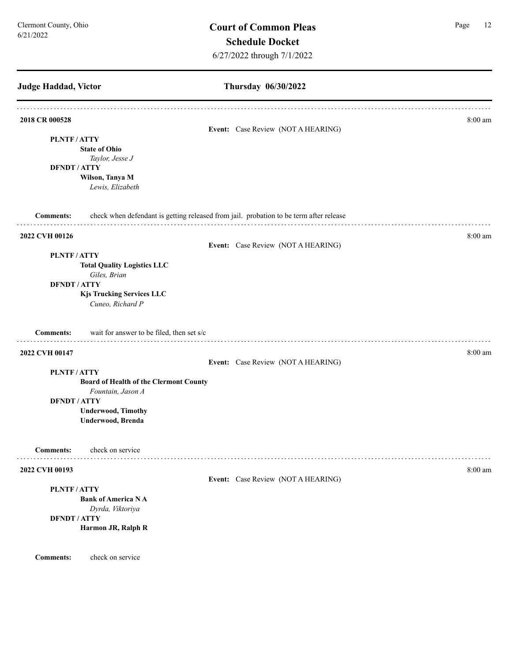**Judge Haddad, Victor Thursday 06/30/2022 2018 CR 000528** 8:00 am **8:00 am Event:** Case Review (NOT A HEARING) **PLNTF / ATTY State of Ohio** *Taylor, Jesse J* **DFNDT / ATTY Wilson, Tanya M** *Lewis, Elizabeth*  **Comments:** check when defendant is getting released from jail. probation to be term after release **2022 CVH 00126** 8:00 am **Event:** Case Review (NOT A HEARING) **PLNTF / ATTY Total Quality Logistics LLC** *Giles, Brian*  **DFNDT / ATTY Kjs Trucking Services LLC** *Cuneo, Richard P* **Comments:** wait for answer to be filed, then set s/c . . . . . . . . . . . . . . **2022 CVH 00147** 8:00 am **8:00 am Event:** Case Review (NOT A HEARING) **PLNTF / ATTY Board of Health of the Clermont County** *Fountain, Jason A* **DFNDT / ATTY Underwood, Timothy Underwood, Brenda Comments:** check on service . . . . . . . . . . . . . . . . . . . . . . . . . . . . . . . **2022 CVH 00193** 8:00 am **8:00 am Event:** Case Review (NOT A HEARING) **PLNTF / ATTY Bank of America N A** *Dyrda, Viktoriya*  **DFNDT / ATTY Harmon JR, Ralph R**

**Comments:** check on service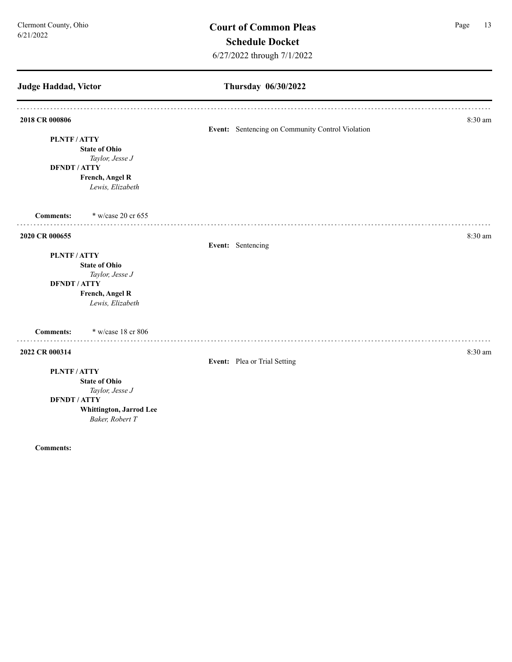# **Judge Haddad, Victor Thursday 06/30/2022 2018 CR 000806** 8:30 am **8:30 am Event:** Sentencing on Community Control Violation **PLNTF / ATTY State of Ohio** *Taylor, Jesse J* **DFNDT / ATTY French, Angel R** *Lewis, Elizabeth*  **Comments:** \* w/case 20 cr 655 **2020 CR 000655** 8:30 am **Event:** Sentencing **PLNTF / ATTY State of Ohio** *Taylor, Jesse J* **DFNDT / ATTY French, Angel R** *Lewis, Elizabeth*  **Comments:** \* w/case 18 cr 806 **2022 CR 000314** 8:30 am **8.30 am Event:** Plea or Trial Setting **PLNTF / ATTY State of Ohio** *Taylor, Jesse J* **DFNDT / ATTY Whittington, Jarrod Lee** *Baker, Robert T*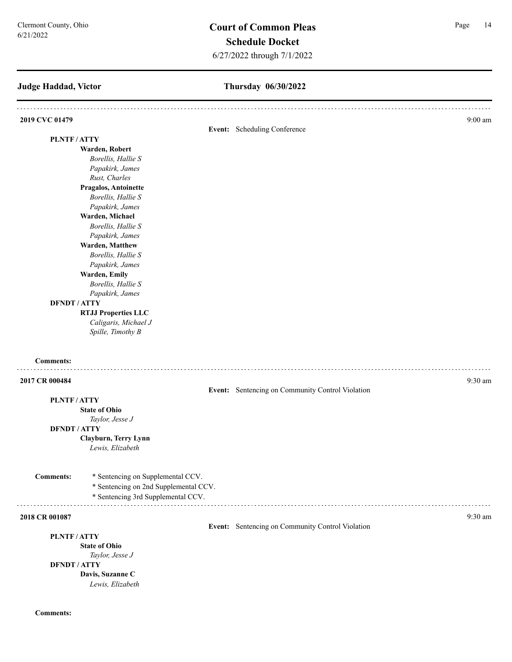## **Judge Haddad, Victor**

## **Thursday 06/30/2022**

| 2019 CVC 01479      |                                                                            |                                                  | $9:00$ am |
|---------------------|----------------------------------------------------------------------------|--------------------------------------------------|-----------|
| <b>PLNTF/ATTY</b>   |                                                                            | Event: Scheduling Conference                     |           |
|                     | Warden, Robert                                                             |                                                  |           |
|                     | Borellis, Hallie S                                                         |                                                  |           |
|                     | Papakirk, James                                                            |                                                  |           |
|                     | Rust, Charles                                                              |                                                  |           |
|                     | Pragalos, Antoinette                                                       |                                                  |           |
|                     | Borellis, Hallie S                                                         |                                                  |           |
|                     | Papakirk, James                                                            |                                                  |           |
|                     | Warden, Michael                                                            |                                                  |           |
|                     | Borellis, Hallie S                                                         |                                                  |           |
|                     | Papakirk, James                                                            |                                                  |           |
|                     | Warden, Matthew                                                            |                                                  |           |
|                     | Borellis, Hallie S                                                         |                                                  |           |
|                     | Papakirk, James                                                            |                                                  |           |
|                     | Warden, Emily                                                              |                                                  |           |
|                     | Borellis, Hallie S                                                         |                                                  |           |
|                     | Papakirk, James                                                            |                                                  |           |
| <b>DFNDT / ATTY</b> |                                                                            |                                                  |           |
|                     | <b>RTJJ Properties LLC</b>                                                 |                                                  |           |
|                     | Caligaris, Michael J<br>Spille, Timothy B                                  |                                                  |           |
| <b>Comments:</b>    |                                                                            |                                                  |           |
| 2017 CR 000484      |                                                                            |                                                  | 9:30 am   |
|                     |                                                                            | Event: Sentencing on Community Control Violation |           |
| PLNTF/ATTY          |                                                                            |                                                  |           |
|                     | <b>State of Ohio</b><br>Taylor, Jesse J                                    |                                                  |           |
| <b>DFNDT / ATTY</b> |                                                                            |                                                  |           |
|                     | Clayburn, Terry Lynn                                                       |                                                  |           |
|                     | Lewis, Elizabeth                                                           |                                                  |           |
|                     |                                                                            |                                                  |           |
| <b>Comments:</b>    | * Sentencing on Supplemental CCV.<br>* Sentencing on 2nd Supplemental CCV. |                                                  |           |
|                     | * Sentencing 3rd Supplemental CCV.                                         |                                                  |           |
|                     |                                                                            |                                                  |           |
| 2018 CR 001087      |                                                                            |                                                  | $9:30$ am |
|                     |                                                                            | Event: Sentencing on Community Control Violation |           |
| PLNTF/ATTY          |                                                                            |                                                  |           |
|                     | <b>State of Ohio</b>                                                       |                                                  |           |
|                     | Taylor, Jesse J                                                            |                                                  |           |
| <b>DFNDT / ATTY</b> |                                                                            |                                                  |           |
|                     | Davis, Suzanne C                                                           |                                                  |           |
|                     | Lewis, Elizabeth                                                           |                                                  |           |
|                     |                                                                            |                                                  |           |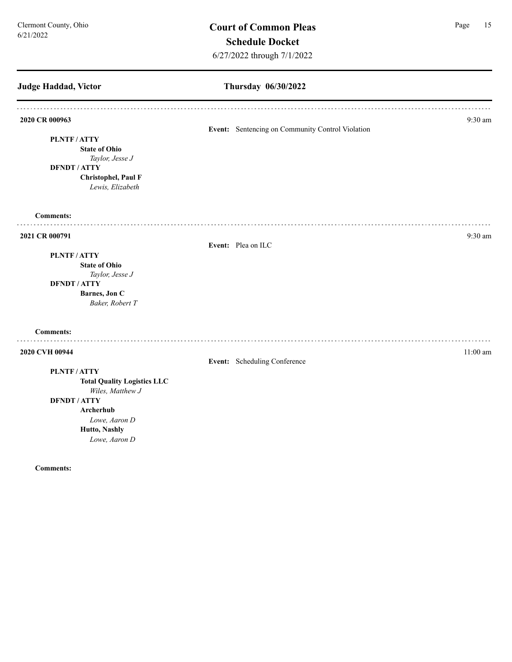## **Judge Haddad, Victor Thursday 06/30/2022 2020 CR 000963** 9:30 am **Event:** Sentencing on Community Control Violation **PLNTF / ATTY State of Ohio** *Taylor, Jesse J* **DFNDT / ATTY Christophel, Paul F** *Lewis, Elizabeth*  **Comments:** . . . . . . . . . . . . **2021 CR 000791** 9:30 am **Event:** Plea on ILC **PLNTF / ATTY State of Ohio** *Taylor, Jesse J* **DFNDT / ATTY Barnes, Jon C** *Baker, Robert T* **Comments: 2020 CVH 00944** 11:00 am **11:00 am Event:** Scheduling Conference **PLNTF / ATTY Total Quality Logistics LLC** *Wiles, Matthew J* **DFNDT / ATTY Archerhub** *Lowe, Aaron D* **Hutto, Nashly**  *Lowe, Aaron D*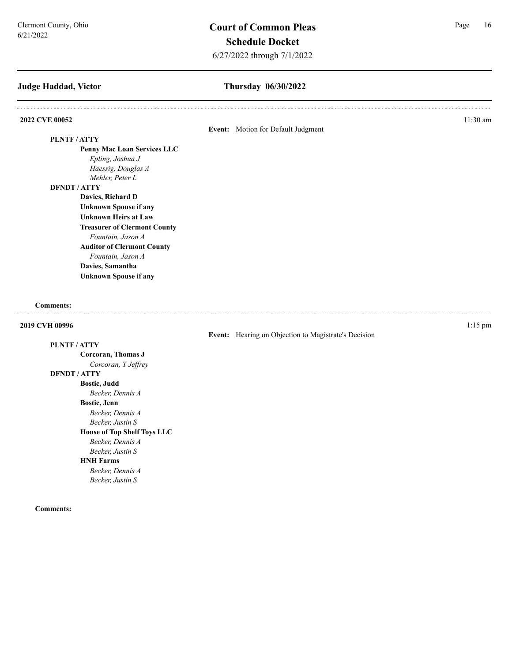## **Judge Haddad, Victor**

## **Thursday 06/30/2022**

| 2022 CVE 00052                      |                                                      | 11:30 am  |
|-------------------------------------|------------------------------------------------------|-----------|
|                                     | Event: Motion for Default Judgment                   |           |
| PLNTF/ATTY                          |                                                      |           |
| <b>Penny Mac Loan Services LLC</b>  |                                                      |           |
| Epling, Joshua J                    |                                                      |           |
| Haessig, Douglas A                  |                                                      |           |
| Mehler, Peter L                     |                                                      |           |
| <b>DFNDT / ATTY</b>                 |                                                      |           |
| Davies, Richard D                   |                                                      |           |
| <b>Unknown Spouse if any</b>        |                                                      |           |
| <b>Unknown Heirs at Law</b>         |                                                      |           |
| <b>Treasurer of Clermont County</b> |                                                      |           |
| Fountain, Jason A                   |                                                      |           |
| <b>Auditor of Clermont County</b>   |                                                      |           |
| Fountain, Jason A                   |                                                      |           |
| Davies, Samantha                    |                                                      |           |
| <b>Unknown Spouse if any</b>        |                                                      |           |
|                                     |                                                      |           |
| <b>Comments:</b>                    |                                                      |           |
| 2019 CVH 00996                      |                                                      | $1:15$ pm |
|                                     | Event: Hearing on Objection to Magistrate's Decision |           |
| PLNTF/ATTY                          |                                                      |           |
| Corcoran, Thomas J                  |                                                      |           |
| Corcoran, T Jeffrey                 |                                                      |           |
| <b>DFNDT / ATTY</b>                 |                                                      |           |
| <b>Bostic, Judd</b>                 |                                                      |           |
| Becker, Dennis A                    |                                                      |           |
| Bostic, Jenn                        |                                                      |           |
| Becker, Dennis A                    |                                                      |           |
| Becker, Justin S                    |                                                      |           |
| <b>House of Top Shelf Toys LLC</b>  |                                                      |           |
| Becker, Dennis A                    |                                                      |           |
| Becker, Justin S                    |                                                      |           |
| <b>HNH Farms</b>                    |                                                      |           |
| Becker, Dennis A                    |                                                      |           |
| Becker, Justin S                    |                                                      |           |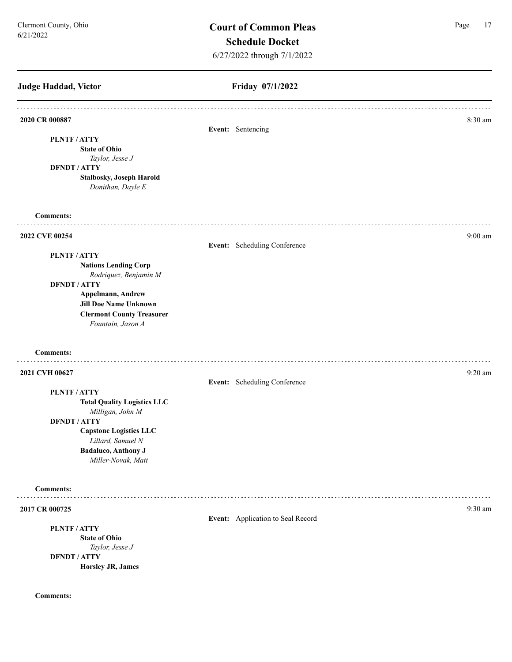## **Judge Haddad, Victor Friday 07/1/2022 2020 CR 000887** 8:30 am **Event:** Sentencing **PLNTF / ATTY State of Ohio** *Taylor, Jesse J* **DFNDT / ATTY Stalbosky, Joseph Harold** *Donithan, Dayle E* **Comments:** . . . . . . . . . . **2022 CVE 00254** 9:00 am **Event:** Scheduling Conference **PLNTF / ATTY Nations Lending Corp** *Rodriquez, Benjamin M* **DFNDT / ATTY Appelmann, Andrew Jill Doe Name Unknown Clermont County Treasurer** *Fountain, Jason A* **Comments:** . . . . . . . . . . . **2021 CVH 00627** 9:20 am **9:20 Event:** Scheduling Conference **PLNTF / ATTY Total Quality Logistics LLC** *Milligan, John M* **DFNDT / ATTY Capstone Logistics LLC** *Lillard, Samuel N* **Badaluco, Anthony J** *Miller-Novak, Matt*  **Comments: 2017 CR 000725** 9:30 am **Event:** Application to Seal Record **PLNTF / ATTY State of Ohio** *Taylor, Jesse J* **DFNDT / ATTY Horsley JR, James**